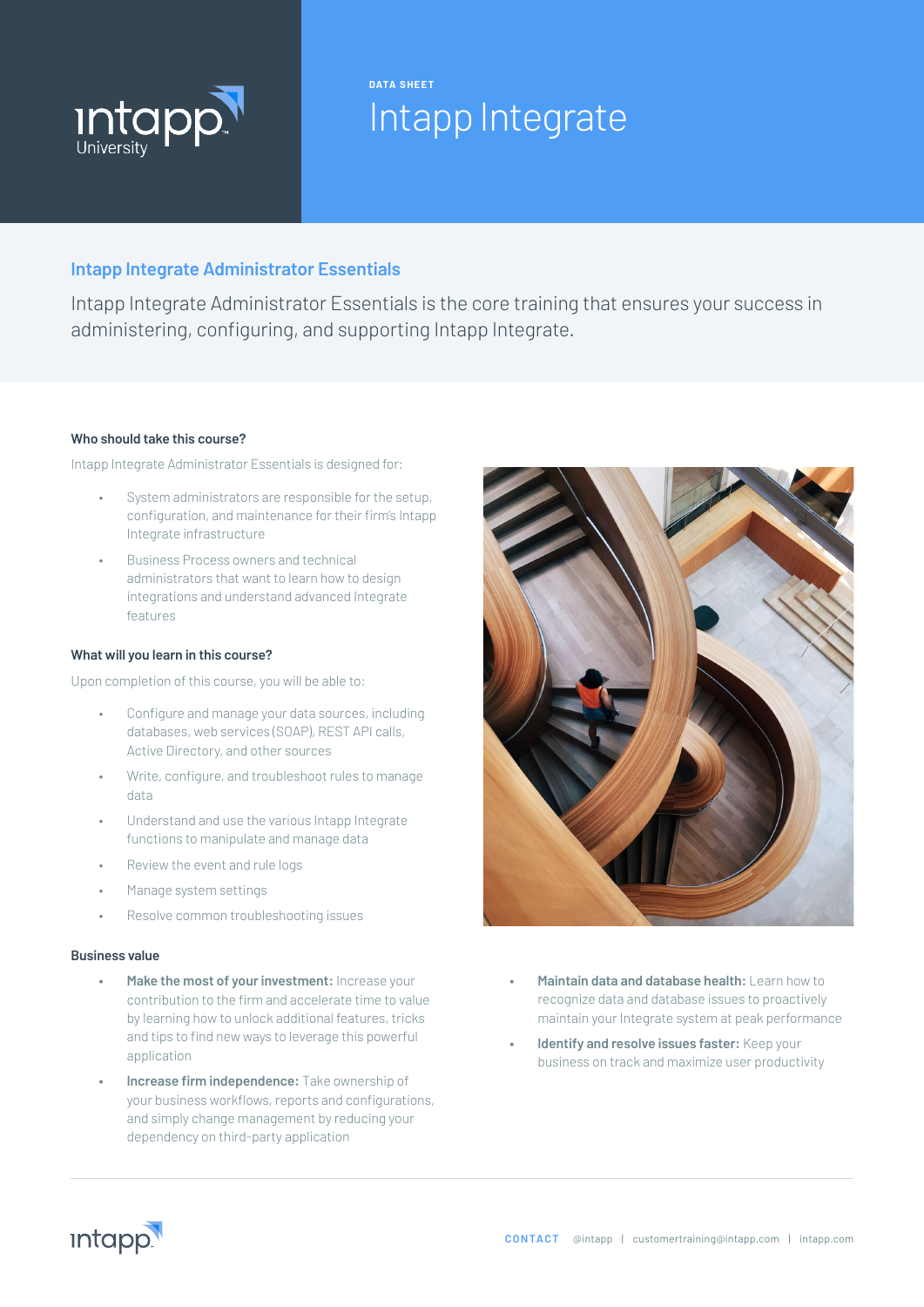

# Intapp Integrate

### **Intapp Integrate Administrator Essentials**

Intapp Integrate Administrator Essentials is the core training that ensures your success in administering, configuring, and supporting Intapp Integrate.

**DATA SHEET**

#### **Who should take this course?**

Intapp Integrate Administrator Essentials is designed for:

- System administrators are responsible for the setup, configuration, and maintenance for their firm's Intapp Integrate infrastructure
- Business Process owners and technical administrators that want to learn how to design integrations and understand advanced Integrate features

#### **What will you learn in this course?**

Upon completion of this course, you will be able to:

- Configure and manage your data sources, including databases, web services (SOAP), REST API calls, Active Directory, and other sources
- Write, configure, and troubleshoot rules to manage data
- Understand and use the various Intapp Integrate functions to manipulate and manage data
- Review the event and rule logs
- Manage system settings
- Resolve common troubleshooting issues

#### **Business value**

- **• Make the most of your investment:** Increase your contribution to the firm and accelerate time to value by learning how to unlock additional features, tricks and tips to find new ways to leverage this powerful application
- **• Increase firm independence:** Take ownership of your business workflows, reports and configurations, and simply change management by reducing your dependency on third-party application



- **• Maintain data and database health:** Learn how to recognize data and database issues to proactively maintain your Integrate system at peak performance
- **• Identify and resolve issues faster:** Keep your business on track and maximize user productivity